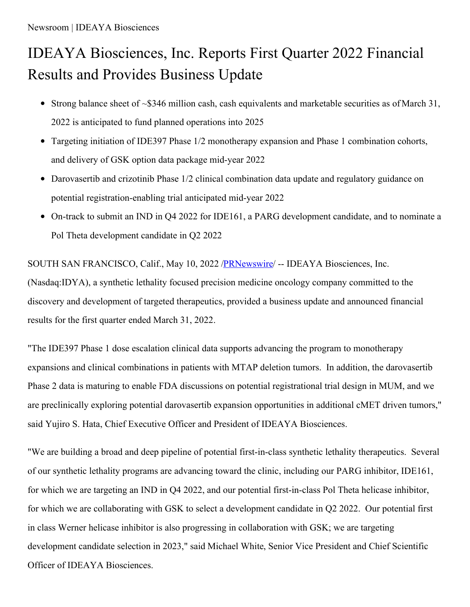# IDEAYA Biosciences, Inc. Reports First Quarter 2022 Financial Results and Provides Business Update

- Strong balance sheet of  $\sim$ \$346 million cash, cash equivalents and marketable securities as of March 31, 2022 is anticipated to fund planned operations into 2025
- Targeting initiation of IDE397 Phase 1/2 monotherapy expansion and Phase 1 combination cohorts, and delivery of GSK option data package mid-year 2022
- Darovasertib and crizotinib Phase 1/2 clinical combination data update and regulatory guidance on potential registration-enabling trial anticipated mid-year 2022
- On-track to submit an IND in Q4 2022 for IDE161, a PARG development candidate, and to nominate a Pol Theta development candidate in Q2 2022

SOUTH SAN FRANCISCO, Calif., May 10, 2022 /**PRNewswire/** -- IDEAYA Biosciences, Inc. (Nasdaq:IDYA), a synthetic lethality focused precision medicine oncology company committed to the discovery and development of targeted therapeutics, provided a business update and announced financial results for the first quarter ended March 31, 2022.

"The IDE397 Phase 1 dose escalation clinical data supports advancing the program to monotherapy expansions and clinical combinations in patients with MTAP deletion tumors. In addition, the darovasertib Phase 2 data is maturing to enable FDA discussions on potential registrational trial design in MUM, and we are preclinically exploring potential darovasertib expansion opportunities in additional cMET driven tumors," said Yujiro S. Hata, Chief Executive Officer and President of IDEAYA Biosciences.

"We are building a broad and deep pipeline of potential first-in-class synthetic lethality therapeutics. Several of our synthetic lethality programs are advancing toward the clinic, including our PARG inhibitor, IDE161, for which we are targeting an IND in Q4 2022, and our potential first-in-class Pol Theta helicase inhibitor, for which we are collaborating with GSK to select a development candidate in Q2 2022. Our potential first in class Werner helicase inhibitor is also progressing in collaboration with GSK; we are targeting development candidate selection in 2023," said Michael White, Senior Vice President and Chief Scientific Officer of IDEAYA Biosciences.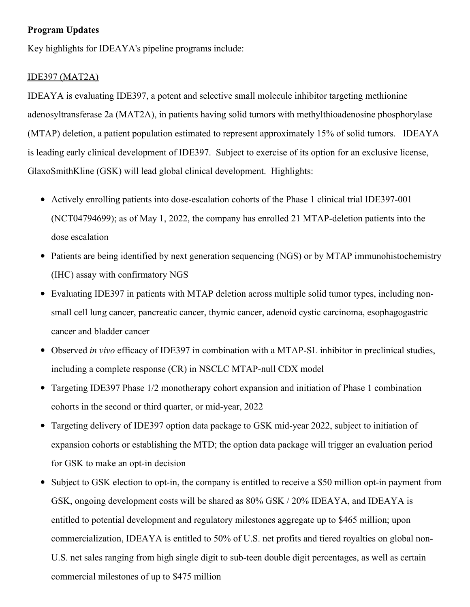## **Program Updates**

Key highlights for IDEAYA's pipeline programs include:

### IDE397 (MAT2A)

IDEAYA is evaluating IDE397, a potent and selective small molecule inhibitor targeting methionine adenosyltransferase 2a (MAT2A), in patients having solid tumors with methylthioadenosine phosphorylase (MTAP) deletion, a patient population estimated to represent approximately 15% of solid tumors. IDEAYA is leading early clinical development of IDE397. Subject to exercise of its option for an exclusive license, GlaxoSmithKline (GSK) will lead global clinical development. Highlights:

- Actively enrolling patients into dose-escalation cohorts of the Phase 1 clinical trial IDE397-001 (NCT04794699); as of May 1, 2022, the company has enrolled 21 MTAP-deletion patients into the dose escalation
- Patients are being identified by next generation sequencing (NGS) or by MTAP immunohistochemistry (IHC) assay with confirmatory NGS
- Evaluating IDE397 in patients with MTAP deletion across multiple solid tumor types, including nonsmall cell lung cancer, pancreatic cancer, thymic cancer, adenoid cystic carcinoma, esophagogastric cancer and bladder cancer
- Observed *in vivo* efficacy of IDE397 in combination with a MTAP-SL inhibitor in preclinical studies, including a complete response (CR) in NSCLC MTAP-null CDX model
- Targeting IDE397 Phase 1/2 monotherapy cohort expansion and initiation of Phase 1 combination cohorts in the second or third quarter, or mid-year, 2022
- Targeting delivery of IDE397 option data package to GSK mid-year 2022, subject to initiation of  $\bullet$ expansion cohorts or establishing the MTD; the option data package will trigger an evaluation period for GSK to make an opt-in decision
- Subject to GSK election to opt-in, the company is entitled to receive a \$50 million opt-in payment from GSK, ongoing development costs will be shared as 80% GSK / 20% IDEAYA, and IDEAYA is entitled to potential development and regulatory milestones aggregate up to \$465 million; upon commercialization, IDEAYA is entitled to 50% of U.S. net profits and tiered royalties on global non-U.S. net sales ranging from high single digit to sub-teen double digit percentages, as well as certain commercial milestones of up to \$475 million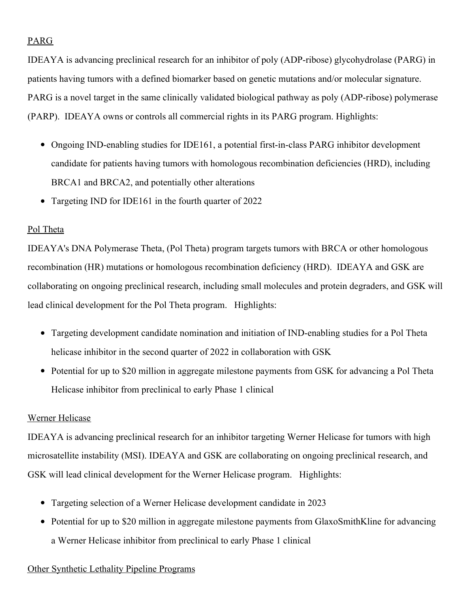## PARG

IDEAYA is advancing preclinical research for an inhibitor of poly (ADP-ribose) glycohydrolase (PARG) in patients having tumors with a defined biomarker based on genetic mutations and/or molecular signature. PARG is a novel target in the same clinically validated biological pathway as poly (ADP-ribose) polymerase (PARP). IDEAYA owns or controls all commercial rights in its PARG program. Highlights:

- Ongoing IND-enabling studies for IDE161, a potential first-in-class PARG inhibitor development candidate for patients having tumors with homologous recombination deficiencies (HRD), including BRCA1 and BRCA2, and potentially other alterations
- Targeting IND for IDE161 in the fourth quarter of 2022

## Pol Theta

IDEAYA's DNA Polymerase Theta, (Pol Theta) program targets tumors with BRCA or other homologous recombination (HR) mutations or homologous recombination deficiency (HRD). IDEAYA and GSK are collaborating on ongoing preclinical research, including small molecules and protein degraders, and GSK will lead clinical development for the Pol Theta program. Highlights:

- Targeting development candidate nomination and initiation of IND-enabling studies for a Pol Theta helicase inhibitor in the second quarter of 2022 in collaboration with GSK
- Potential for up to \$20 million in aggregate milestone payments from GSK for advancing a Pol Theta Helicase inhibitor from preclinical to early Phase 1 clinical

## Werner Helicase

IDEAYA is advancing preclinical research for an inhibitor targeting Werner Helicase for tumors with high microsatellite instability (MSI). IDEAYA and GSK are collaborating on ongoing preclinical research, and GSK will lead clinical development for the Werner Helicase program. Highlights:

- Targeting selection of a Werner Helicase development candidate in 2023
- Potential for up to \$20 million in aggregate milestone payments from GlaxoSmithKline for advancing a Werner Helicase inhibitor from preclinical to early Phase 1 clinical

## Other Synthetic Lethality Pipeline Programs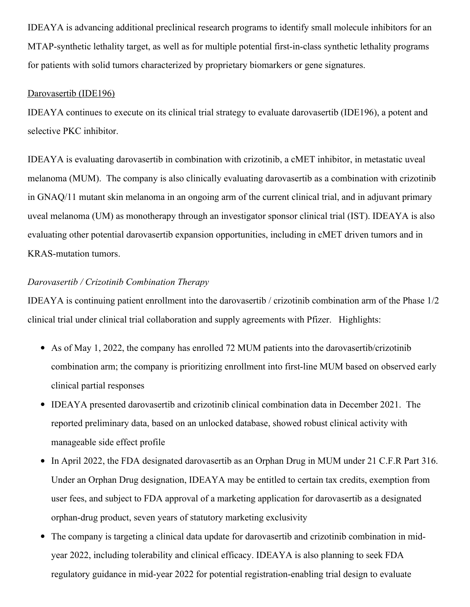IDEAYA is advancing additional preclinical research programs to identify small molecule inhibitors for an MTAP-synthetic lethality target, as well as for multiple potential first-in-class synthetic lethality programs for patients with solid tumors characterized by proprietary biomarkers or gene signatures.

#### Darovasertib (IDE196)

IDEAYA continues to execute on its clinical trial strategy to evaluate darovasertib (IDE196), a potent and selective PKC inhibitor.

IDEAYA is evaluating darovasertib in combination with crizotinib, a cMET inhibitor, in metastatic uveal melanoma (MUM). The company is also clinically evaluating darovasertib as a combination with crizotinib in GNAQ/11 mutant skin melanoma in an ongoing arm of the current clinical trial, and in adjuvant primary uveal melanoma (UM) as monotherapy through an investigator sponsor clinical trial (IST). IDEAYA is also evaluating other potential darovasertib expansion opportunities, including in cMET driven tumors and in KRAS-mutation tumors.

## *Darovasertib / Crizotinib Combination Therapy*

IDEAYA is continuing patient enrollment into the darovasertib / crizotinib combination arm of the Phase 1/2 clinical trial under clinical trial collaboration and supply agreements with Pfizer. Highlights:

- As of May 1, 2022, the company has enrolled 72 MUM patients into the darovasertib/crizotinib combination arm; the company is prioritizing enrollment into first-line MUM based on observed early clinical partial responses
- IDEAYA presented darovasertib and crizotinib clinical combination data in December 2021. The reported preliminary data, based on an unlocked database, showed robust clinical activity with manageable side effect profile
- In April 2022, the FDA designated darovasertib as an Orphan Drug in MUM under 21 C.F.R Part 316. Under an Orphan Drug designation, IDEAYA may be entitled to certain tax credits, exemption from user fees, and subject to FDA approval of a marketing application for darovasertib as a designated orphan-drug product, seven years of statutory marketing exclusivity
- The company is targeting a clinical data update for darovasertib and crizotinib combination in mid- $\bullet$ year 2022, including tolerability and clinical efficacy. IDEAYA is also planning to seek FDA regulatory guidance in mid-year 2022 for potential registration-enabling trial design to evaluate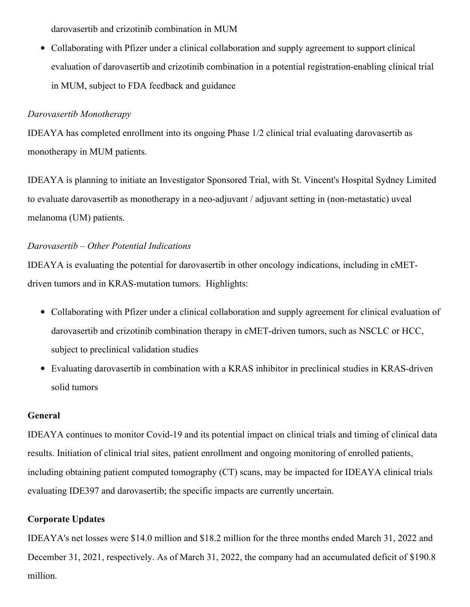darovasertib and crizotinib combination in MUM

• Collaborating with Pfizer under a clinical collaboration and supply agreement to support clinical evaluation of darovasertib and crizotinib combination in a potential registration-enabling clinical trial in MUM, subject to FDA feedback and guidance

# *Darovasertib Monotherapy*

IDEAYA has completed enrollment into its ongoing Phase 1/2 clinical trial evaluating darovasertib as monotherapy in MUM patients.

IDEAYA is planning to initiate an Investigator Sponsored Trial, with St. Vincent's Hospital Sydney Limited to evaluate darovasertib as monotherapy in a neo-adjuvant / adjuvant setting in (non-metastatic) uveal melanoma (UM) patients.

# *Darovasertib – Other Potential Indications*

IDEAYA is evaluating the potential for darovasertib in other oncology indications, including in cMETdriven tumors and in KRAS-mutation tumors. Highlights:

- Collaborating with Pfizer under a clinical collaboration and supply agreement for clinical evaluation of darovasertib and crizotinib combination therapy in cMET-driven tumors, such as NSCLC or HCC, subject to preclinical validation studies
- Evaluating darovasertib in combination with a KRAS inhibitor in preclinical studies in KRAS-driven solid tumors

# **General**

IDEAYA continues to monitor Covid-19 and its potential impact on clinical trials and timing of clinical data results. Initiation of clinical trial sites, patient enrollment and ongoing monitoring of enrolled patients, including obtaining patient computed tomography (CT) scans, may be impacted for IDEAYA clinical trials evaluating IDE397 and darovasertib; the specific impacts are currently uncertain.

# **Corporate Updates**

IDEAYA's net losses were \$14.0 million and \$18.2 million for the three months ended March 31, 2022 and December 31, 2021, respectively. As of March 31, 2022, the company had an accumulated deficit of \$190.8 million.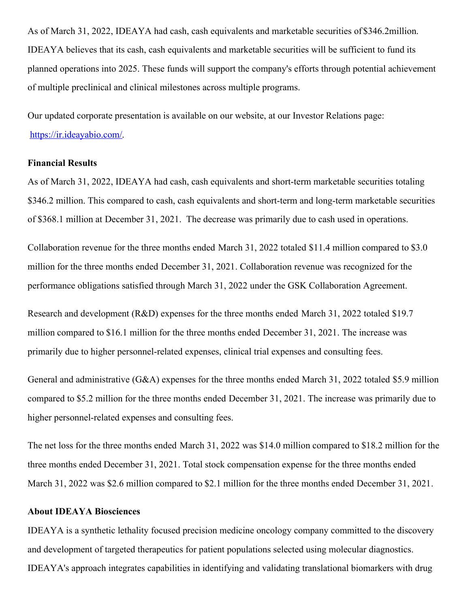As of March 31, 2022, IDEAYA had cash, cash equivalents and marketable securities of \$346.2million. IDEAYA believes that its cash, cash equivalents and marketable securities will be sufficient to fund its planned operations into 2025. These funds will support the company's efforts through potential achievement of multiple preclinical and clinical milestones across multiple programs.

Our updated corporate presentation is available on our website, at our Investor Relations page: [https://ir.ideayabio.com/](https://c212.net/c/link/?t=0&l=en&o=3531190-1&h=137966629&u=https%3A%2F%2Fir.ideayabio.com%2F&a=https%3A%2F%2Fir.ideayabio.com%2F).

#### **Financial Results**

As of March 31, 2022, IDEAYA had cash, cash equivalents and short-term marketable securities totaling \$346.2 million. This compared to cash, cash equivalents and short-term and long-term marketable securities of \$368.1 million at December 31, 2021. The decrease was primarily due to cash used in operations.

Collaboration revenue for the three months ended March 31, 2022 totaled \$11.4 million compared to \$3.0 million for the three months ended December 31, 2021. Collaboration revenue was recognized for the performance obligations satisfied through March 31, 2022 under the GSK Collaboration Agreement.

Research and development (R&D) expenses for the three months ended March 31, 2022 totaled \$19.7 million compared to \$16.1 million for the three months ended December 31, 2021. The increase was primarily due to higher personnel-related expenses, clinical trial expenses and consulting fees.

General and administrative (G&A) expenses for the three months ended March 31, 2022 totaled \$5.9 million compared to \$5.2 million for the three months ended December 31, 2021. The increase was primarily due to higher personnel-related expenses and consulting fees.

The net loss for the three months ended March 31, 2022 was \$14.0 million compared to \$18.2 million for the three months ended December 31, 2021. Total stock compensation expense for the three months ended March 31, 2022 was \$2.6 million compared to \$2.1 million for the three months ended December 31, 2021.

## **About IDEAYA Biosciences**

IDEAYA is a synthetic lethality focused precision medicine oncology company committed to the discovery and development of targeted therapeutics for patient populations selected using molecular diagnostics. IDEAYA's approach integrates capabilities in identifying and validating translational biomarkers with drug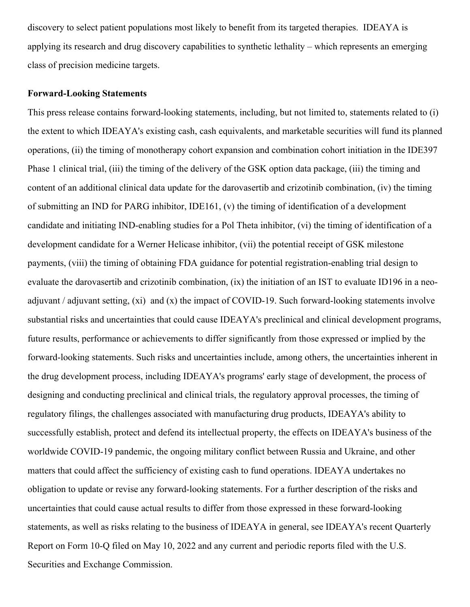discovery to select patient populations most likely to benefit from its targeted therapies. IDEAYA is applying its research and drug discovery capabilities to synthetic lethality – which represents an emerging class of precision medicine targets.

#### **Forward-Looking Statements**

This press release contains forward-looking statements, including, but not limited to, statements related to (i) the extent to which IDEAYA's existing cash, cash equivalents, and marketable securities will fund its planned operations, (ii) the timing of monotherapy cohort expansion and combination cohort initiation in the IDE397 Phase 1 clinical trial, (iii) the timing of the delivery of the GSK option data package, (iii) the timing and content of an additional clinical data update for the darovasertib and crizotinib combination, (iv) the timing of submitting an IND for PARG inhibitor, IDE161, (v) the timing of identification of a development candidate and initiating IND-enabling studies for a Pol Theta inhibitor, (vi) the timing of identification of a development candidate for a Werner Helicase inhibitor, (vii) the potential receipt of GSK milestone payments, (viii) the timing of obtaining FDA guidance for potential registration-enabling trial design to evaluate the darovasertib and crizotinib combination, (ix) the initiation of an IST to evaluate ID196 in a neoadjuvant / adjuvant setting, (xi) and (x) the impact of COVID-19. Such forward-looking statements involve substantial risks and uncertainties that could cause IDEAYA's preclinical and clinical development programs, future results, performance or achievements to differ significantly from those expressed or implied by the forward-looking statements. Such risks and uncertainties include, among others, the uncertainties inherent in the drug development process, including IDEAYA's programs' early stage of development, the process of designing and conducting preclinical and clinical trials, the regulatory approval processes, the timing of regulatory filings, the challenges associated with manufacturing drug products, IDEAYA's ability to successfully establish, protect and defend its intellectual property, the effects on IDEAYA's business of the worldwide COVID-19 pandemic, the ongoing military conflict between Russia and Ukraine, and other matters that could affect the sufficiency of existing cash to fund operations. IDEAYA undertakes no obligation to update or revise any forward-looking statements. For a further description of the risks and uncertainties that could cause actual results to differ from those expressed in these forward-looking statements, as well as risks relating to the business of IDEAYA in general, see IDEAYA's recent Quarterly Report on Form 10-Q filed on May 10, 2022 and any current and periodic reports filed with the U.S. Securities and Exchange Commission.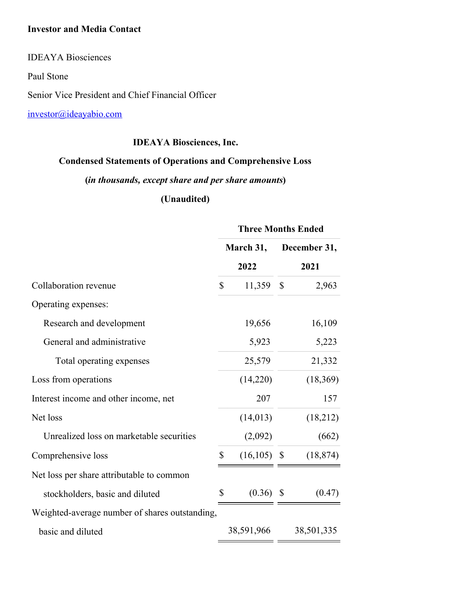## **Investor and Media Contact**

IDEAYA Biosciences

Paul Stone

Senior Vice President and Chief Financial Officer

[investor@ideayabio.com](mailto:investor@ideayabio.com)

# **IDEAYA Biosciences, Inc.**

# **Condensed Statements of Operations and Comprehensive Loss**

# **(***in thousands, except share and per share amounts***)**

# **(Unaudited)**

|                                                | <b>Three Months Ended</b> |                |                           |           |  |
|------------------------------------------------|---------------------------|----------------|---------------------------|-----------|--|
|                                                | March 31,                 |                | December 31,              |           |  |
|                                                |                           | 2022           | 2021                      |           |  |
| Collaboration revenue                          | $\mathbb{S}$              | 11,359         | $\boldsymbol{\mathsf{S}}$ | 2,963     |  |
| Operating expenses:                            |                           |                |                           |           |  |
| Research and development                       |                           | 19,656         |                           | 16,109    |  |
| General and administrative                     |                           | 5,923          |                           | 5,223     |  |
| Total operating expenses                       |                           | 25,579         |                           | 21,332    |  |
| Loss from operations                           |                           | (14,220)       |                           | (18,369)  |  |
| Interest income and other income, net          |                           | 207            |                           | 157       |  |
| Net loss                                       |                           | (14, 013)      |                           | (18,212)  |  |
| Unrealized loss on marketable securities       |                           | (2,092)        |                           | (662)     |  |
| Comprehensive loss                             | \$                        | $(16, 105)$ \$ |                           | (18, 874) |  |
| Net loss per share attributable to common      |                           |                |                           |           |  |
| stockholders, basic and diluted                | \$                        | (0.36)         | S                         | (0.47)    |  |
| Weighted-average number of shares outstanding, |                           |                |                           |           |  |
| basic and diluted                              |                           | 38,591,966     | 38,501,335                |           |  |